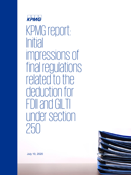

KPMG report: Initial impressions of final regulations related to the deduction for FDII and GILTI under section  $250$ 



July 10, 2020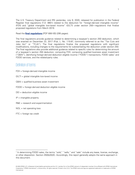The U.S. Treasury Department and IRS yesterday, July 9, 2020, released for publication in the Federal Register final regulations (T.D. 9901) related to the deduction for "foreign-derived intangible income" (FDII) and "global intangible low-taxed income" (GILTI) under section 250—regulations that finalize proposed regulations from March 2019.

Read the **[final regulations](https://s3.amazonaws.com/public-inspection.federalregister.gov/2020-14649.pdf)** [PDF 806 KB] (295 pages).

The final regulations provide guidance related to determining a taxpayer's section 250 deduction, which was enacted on December 22, 2017 (Pub. L. No. 115-97, commonly referred to as the "Tax Cuts and Jobs Act" or "TCJA"). The final regulations finalize the proposed regulations with significant modifications, including changes to the requirements for substantiating the deduction under section 250. The final regulations also provide additional guidance related to specific rules for determining the amount of a taxpayer's section 250 deduction, computing FDII, computing qualified business asset investment ("QBAI"), identifying foreign-derived deduction eligible income ("FDDEI") transactions, FDDEI sales[1](#page-1-0) and FDDEI services, and the related-party rules.

### Definition of terms

- FDII = foreign-derived intangible income
- GILTI = global intangible low-taxed income
- QBAI = qualified business asset investment
- FDDEI = foreign-derived deduction eligible income
- DEI = deduction eligible income
- $IP =$  intangible property
- R&E = research and experimentation
- $NOL$  = net operating loss
- $FTC = foreign tax credit$

l

<span id="page-1-0"></span><sup>&</sup>lt;sup>1</sup> In determining FDDEI sales, the terms "sold," "sells," and "sale" include any lease, license, exchange, or other disposition. Section 250(b)(5)(E). Accordingly, this report generally adopts the same approach in this document.

<sup>© 2020</sup> KPMG LLP, a Delaware limited liability partnership and the U.S. member firm of the KPMG network of independent member firms affiliated with KPMG International Cooperative ("KPMG International"), a Swiss entity. All rights reserved. Printed in the U.S.A. The KPMG name and logo are registered trademarks or trademarks of KPMG International.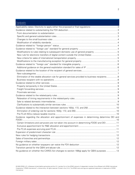## **Contents**

| טטו ונטו ונט                                                                                      |  |
|---------------------------------------------------------------------------------------------------|--|
|                                                                                                   |  |
|                                                                                                   |  |
|                                                                                                   |  |
|                                                                                                   |  |
|                                                                                                   |  |
|                                                                                                   |  |
|                                                                                                   |  |
|                                                                                                   |  |
|                                                                                                   |  |
|                                                                                                   |  |
|                                                                                                   |  |
|                                                                                                   |  |
|                                                                                                   |  |
|                                                                                                   |  |
|                                                                                                   |  |
| Elimination of the ratable allocation rule for general services provided to business recipients 8 |  |
|                                                                                                   |  |
|                                                                                                   |  |
|                                                                                                   |  |
|                                                                                                   |  |
|                                                                                                   |  |
|                                                                                                   |  |
|                                                                                                   |  |
|                                                                                                   |  |
|                                                                                                   |  |
|                                                                                                   |  |
|                                                                                                   |  |
|                                                                                                   |  |
| Guidance regarding the allocation and apportionment of expenses in determining determine DEI and  |  |
|                                                                                                   |  |
| Certain limitations and carryovers are not taken into account in determining FDDEI and DEI 11     |  |
|                                                                                                   |  |
|                                                                                                   |  |
|                                                                                                   |  |
|                                                                                                   |  |
|                                                                                                   |  |
|                                                                                                   |  |
|                                                                                                   |  |
|                                                                                                   |  |
| No guidance on whether the CARES Act changes to section 168(g) apply for QBAI purposes  13        |  |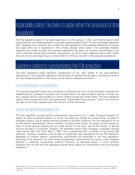# <span id="page-3-0"></span>Applicability dates: Electivity to apply either the proposed or final regulations

The final regulations apply for tax years beginning on or after January 1, 2021, such that the statute itself is generally the only binding guidance for tax years beginning before 2021. For tax years beginning before 2021, taxpayers may choose to rely on either the final regulations or the proposed regulations, as long as they apply either set of regulations in their entirety (except where noted in the preamble). Notably, taxpayers that choose to apply the proposed regulations may apply the transition documentation rule, which contained relaxed documentation requirements, for all tax years beginning before 2021 (rather than only for tax years beginning on or before March 4, 2019, as set forth in the proposed regulations).

# <span id="page-3-1"></span>Guidance related to substantiating the FDII deduction

The final regulations make significant modifications to the rules related to the documentation requirements in the proposed regulations. We describe the general themes below, and discuss some of the more detailed provisions in the context of the relevant substantive provision.

### <span id="page-3-2"></span>From documentation to substantiation

The proposed regulations were very prescriptive in specifying the forms of documentation necessary for establishing that a recipient of property was a foreign person, the sale of property was for a foreign use, and a general service was provided to a person located outside the United States. The final regulations replace these requirements with more generalized "substantiation requirements," which focus more on the type of information needed rather than the form of that information.

## <span id="page-3-3"></span>Specific and general substantiation rules

The final regulations provide specific substantiation requirements for (1) sales of general property for resale, (2) sales of general property for further manufacturing outside the United States, (3) sales of intangible property, and (4) general services provided to business recipients. The final regulations do not provide specific substantiation rules to establish (1) foreign person status, (2) foreign use with respect to sales of certain general property that are made directly to end users, and (3) the location of general services provided to consumers. However, the preamble explains that a taxpayer is generally required under section 6001 and Treas. Reg. § 1.6001-1(a) to substantiate that it is entitled to the section 250 deduction. Therefore, taxpayers must be able to substantiate each requirement for the FDII deduction, regardless of whether specific substantiation requirements are prescribed in the final regulations. According to the preamble, the more relaxed substantiation requirements are meant to offer taxpayers flexibility in collecting corroborating evidence. However, as discussed below, in some contexts, taxpayers may find that the final regulations provide fewer options for substantiation than the proposed regulations.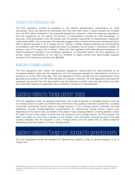### <span id="page-4-0"></span>Changes to the small business rules

The final regulations provide an exception to the specific substantiation requirements for small businesses, which are defined as businesses with less than \$25 million in gross receipts (an increase from the \$10 million threshold in the proposed regulations). However, unlike the proposed regulations, the final regulations do not specify the amount of substantiation required by small businesses. In particular, small businesses must still comply with the general requirement to substantiate a deduction under section 6001. As an example, the preamble suggests that a small business may substantiate that a sale of general property is for a foreign use by "having a foreign shipping address and memorializing conversations with the recipients explaining where the property will be resold, if sufficiently reliable, or having a copy of an export bill of lading." While the final regulations eliminate general exceptions for small transactions included in the proposed regulations, as discussed below, the final regulations do contain certain modifications to the rules for transfers of digital content and electronically supplied services if the transactions are less than \$50,000.

### <span id="page-4-1"></span>Modification of reliability standards

The final regulations also modify the proposed regulations' requirements for documentation to be considered reliable. Under the final regulations, as in the proposed regulations, substantiation must be in existence as of the FDII filing date. The final regulations further provide that the substantiation must generally be provided to the IRS within 30 days of a request. However, the final regulations eliminate the proposed requirement that the documents must be obtained no earlier than one year before the sale, thus permitting taxpayers to generally rely on long-term contracts for substantiation.

## <span id="page-4-2"></span><u>lidance related to "foreign person" status</u>

The final regulations retain the general requirement that a sale of general or intangible property must be to a foreign person to qualify as a FDDEI sale, and that for this purpose a domestic partnership, including a domestic partnership owned solely by foreign persons, is not a foreign person. However, the final regulations provide broadly-applicable presumptions for determining foreign person status that, depending on the type of sale, are based on the place of sale, shipping address, or billing address, unless the seller knows or has reason to know that the recipient is not a foreign person. For this purpose, the seller has reason to know that a recipient is not foreign if the information received as part of the sale process indicates that the recipient is not a foreign person and the seller fails to obtain evidence establishing that the recipient is in fact a foreign person.

# <span id="page-4-3"></span>dance related to "foreign use" standard for general property

The final regulations revise the standard for determining whether a sale of general property is for a foreign use.

© 2020 KPMG LLP, a Delaware limited liability partnership and the U.S. member firm of the KPMG network of independent member firms affiliated with KPMG International Cooperative ("KPMG International"), a Swiss entity. All rights reserved. Printed in the U.S.A. The KPMG name and logo are registered trademarks or trademarks of KPMG International.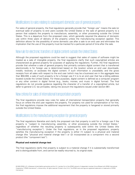## <span id="page-5-0"></span>Modifications to rules relating to subsequent domestic use of general property

For sales of general property, the final regulations generally provide that "foreign use" means the sale (or eventual sale) of property to end users outside the United States or the sale of general property to a person that subjects the property to manufacture, assembly, or other processing outside the United States. This is a departure from the proposed rules, which generally required the absence of domestic use within three years of delivery of the property unless the manufacturing exception applied. This definition allows for the possibility of some domestic use after a sale to an end user and eliminates the implication that the use of the property must be tracked for a particular period of time after the sale.

### <span id="page-5-1"></span>New rule for electronic transfers of digital content outside the United States

Although the proposed regulations could be read to suggest that sales of copies of software might be treated as a sale of intangible property, the final regulations clarify that such copyrighted articles are characterized as general property for purposes of applying the regulations. Further, the final regulations provide that whether a sale of general property that primarily contains digital content that is transferred electronically is for foreign use is determined based on the location where an end user downloads, installs, receives, or accesses the digital content. If such information is unavailable, and the gross receipts from all sales with respect to the end user (which may be a business) are in the aggregate less than \$50,000, a sale of such property is for a foreign use if it is to an end user that has a billing address located outside the United States. For these purposes, digital content is defined as a computer program or any other content in digital format (e.g., books, movies, and music in digital format). The final regulations do not provide guidance regarding the character of a transfer of a copyrighted article, but defer to general U.S. tax principles, taking into account the regulations issued under section 861.

### <span id="page-5-2"></span>New criteria for sales of international transportation property

The final regulations provide new rules for sales of international transportation property that generally focus on where the end user registers the property. For property not used for compensation or for hire, the final regulations impose the additional requirement that the property is hangared or stored primarily outside the United States.

### <span id="page-5-3"></span>Modifications to the manufacturing exception for general property

The final regulations liberalize and clarify the proposed rule that property is sold for a foreign use if the property is "subject to manufacturing, assembly, or other processing outside the United States," regardless of whether the resulting property is subsequently sold within the United States (the "manufacturing exception"). Under the final regulations, as in the proposed regulations, property satisfies the manufacturing exception if the property is either (1) subject to a physical and material change (the "physical and material change test") or (2) incorporated as a component into a second product (the "component test").

#### **Physical and material change test**

The final regulations clarify that property is subject to a material change if it is substantially transformed and is distinguishable from, and cannot be readily returned to, its original state.

<sup>© 2020</sup> KPMG LLP, a Delaware limited liability partnership and the U.S. member firm of the KPMG network of independent member firms affiliated with KPMG International Cooperative ("KPMG International"), a Swiss entity. All rights reserved. Printed in the U.S.A. The KPMG name and logo are registered trademarks or trademarks of KPMG International.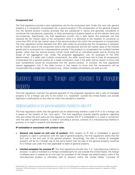#### **Component test**

The final regulations provide a new substantive rule for the component test. Under this new rule, general property is a component incorporated into a second product if the incorporation of the general property into the second product involves activities that are substantial in nature and generally considered to constitute the manufacture, assembly, or other processing of property based on all the relevant facts and circumstances. Significantly, the final regulations convert into a safe harbor the proposed rule that required the fair market value of the component when it is delivered to the recipient to constitute no more than 20% of the fair market value of the second product into which the component is incorporated. The final regulations further liberalize this 20% safe harbor by providing that the comparison is between the fair market value of the component sold to the manufacturer and the fair market value of the finished goods sold to consumers (or a representative sample if the property is incorporated into multiple finished goods), rather than the second product (which could itself be an unfinished good), and by limiting the scope of the aggregation rule. Under the proposed aggregation rule, for purposes of the 20% determination, if a seller sold multiple components, the seller would have had to treat all components incorporated into a second product as a single component, even if the seller had no reason to know that such components would be incorporated into the second product. In contrast, the final regulations require aggregation only if the seller knows or has reason to know that the components will be incorporated into a single item of property (e.g., where multiple components are sold as a kit).

# <span id="page-6-0"></span>Guidance related to "foreign use" standard for intangible property

The final regulations maintain the general approach of the proposed regulations that a sale of intangible property is for a foreign use only to the extent it is "exploited" outside the United States, but provide significant modifications to the rules for when this standard is satisfied.

### <span id="page-6-1"></span>Additional guidance on the general exploitation standard for sales of IP

The final regulations clarify that the general rule for determining whether a sale of IP is for a foreign use is based on the location of the "end users." The final regulations provide specific guidance regarding who and where the end users are that depend on whether the IP is embedded in or used in connection with the sale of general property, is used in providing a service, consists of a manufacturing method or process, or is used in research and development.

#### **IP embedded or associated with product sales**.

- General rule based on end user of product. With respect to IP that is embedded in general property or used in connection with the *sale* of general property, the final regulations clarify that the end user is the end user of the general property. Accordingly, the sale or license of intangible property will be for a foreign use to the same extent that the sale of the general property would be for a foreign use under the rules applicable to sales of general property.
- **Limited exception for process IP.** The final regulations provide that, if a "manufacturing method or process" is sold or licensed to a foreign unrelated party for use outside the United States, the foreign unrelated party is treated as an end user for purposes of the foreign use determination, even if the manufactured product is ultimately sold to persons within the United States ("process IP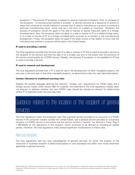exception"). The process IP exception is subject to several important limitations. First, for purpose of the exception, "a manufacturing method or process" is defined narrowly as a sequence of actions or steps that comprise an overall method or process that is used to manufacture a product or produce a particular manufacturing result, which may be in the form of a patent or knowhow. Therefore, the process IP exception would not apply to the sale or license of typical make-sell rights to a foreign unrelated party. Also, the exception does not apply to a sale or license of IP to a related foreign party, or to a sale or license of IP to a foreign unrelated party pursuant to a contract or toll manufacturing arrangement. Finally, the exception does not apply if the seller knows or has reason to know that the manufacturing method or process will be used in the United States.

#### **IP used in providing a service**

The final regulations provide that the end user of a sale or license of IP that is used to provide a service is the recipient of the service, and that the sale is for a foreign use only to the extent that the provision of the service would qualify as a FDDEI service. Notably, the process IP exception is not available for IP that is used to provide a service.

#### **IP used in research and development**

The final regulations provide that, if IP is sold for use in the development of other intangible property, the end user is the end user of the other intangible property, as determined under the rules described above.

#### **Unclear relevance to traditional sourcing rules**

Despite the parallel language defining the statutory "foreign use" requirement for FDDEI sales and a foreign source royalty under section 862 for royalties, the preamble to the final regulations notably does not attempt to address whether the new FDDEI rules should be viewed as relevant for determining where IP is exploited under the sourcing rules.

# <span id="page-7-0"></span>Guidance related to the location of the recipient of general services

The final regulations retain the proposed rules that a general service provided to a consumer is a FDDEI service if the consumer resides outside the United States, and a general service provided to a business recipient is a FDDEI service to the extent that the service confers a "benefit" (as defined in Treas. Reg. § 1.482-9(l)(3)) on the operations of the recipient, which continues to be defined as including all related parties. However, the final regulations make several significant modifications to these rules.

### <span id="page-7-1"></span>New subcategories

The final regulations add two new subcategories of general services, for which the location of the consumer or business recipient is determined based on new standards that differ from those otherwise applicable to general services: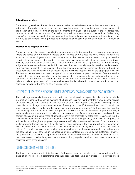#### **Advertising services**

For advertising services, the recipient is deemed to be located where the advertisements are viewed by individuals. If advertising services are displayed via the internet, the advertising services are viewed at the location of the device on which the advertisements are viewed. For this purpose, the IP address may be used to establish the location of a device on which an advertisement is viewed. An "advertising service" is a general service that consists primarily of transmitting or displaying content (including via the internet) to consumers with a purpose to generate revenue based on the promotion of a product or service.

#### **Electronically supplied services**

A recipient of an electronically supplied service is deemed to be located, in the case of a consumer, where the device of the recipient is located or, in the case of a business recipient, where the service is accessed by its employees, contractors, or agents. In the case of an electronically supplied service provided to a consumer, if the renderer cannot with reasonable effort obtain the consumer's device location, then the location of the device is determined based on the billing address for the consumer, subject to the reason to know standard. In the case of an electronically supplied service that is provided to a business recipient, if the location where the service is accessed cannot be determined, and the gross receipts from all services with respect to the business recipient are in the aggregate less than \$50,000 for the renderer's tax year, the operations of the business recipient that benefit from the service provided by the renderer are deemed to be located at the recipient's billing address; otherwise, the operations of the business recipient that benefit are deemed to be located in the United States. An "electronically supplied service" is a general service that is delivered primarily over the internet or an electronic network, other than an advertising service.

### <span id="page-8-0"></span>Elimination of the ratable allocation rule for general services provided to business recipients

The final regulations eliminate the proposed rule that allowed taxpayers that did not have reliable information regarding the specific locations of a business recipient that benefitted from a general service to ratably allocate the "benefit" of the service to all of the recipient's locations. According to the preamble, this change was made because Treasury and the IRS determined that "it would be inappropriate to allow a deduction that is not based on reliable information." Furthermore, the rules for substantiating the amount of FDDEI from general services provided to business recipients no longer explicitly allow the use of publicly available information such as financial statements. In addition, in the context of sales of a fungible mass of general property, the preamble indicates that Treasury and the IRS view market research or information obtained from public data as generally unreliable for purposes of substantiation, although the proposed regulations specifically contemplated the use of such information in documenting foreign use for a fungible mass. These changes in the final regulations, in connection with the retention of the rule that treats a business recipient as including all related parties, may make it difficult for certain taxpayers that provide general services to multinational corporations to substantiate the services as FDDEI services, in the absence of representations provided by the customer. However, the generally less prescriptive approach of the final regulations with respect to substantiation, as well as the rules related to advertising services and electronically supplied services, may make substantiation easier for some other taxpayers.

#### <span id="page-8-1"></span>Business recipient with no operations

The final regulations clarify that, in the case of a business recipient that does not have an office or fixed place of business (e.g., a partnership that that does not itself have any offices or employees but is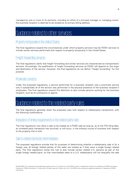managed by one or more of its partners), including an office of a principal manager or managing owner, the business recipient is deemed to be located at its primary billing address.

## <span id="page-9-0"></span>Guidance related to other services.

## <span id="page-9-1"></span>Property temporarily in the United States.

The final regulations expand the circumstances under which property services may be FDDEI services to include certain services performed with respect to property temporarily in the United States.

### <span id="page-9-2"></span>Freight forwarding services

The final regulations clarify that freight forwarding and similar services are characterized as transportation services. Accordingly, the qualification of freight forwarding services as FDDEI will depend on the origin and destination of the service. However, the final regulations do not define "freight forwarding" for this purpose.

### <span id="page-9-3"></span>Proximate services

Under the proposed regulations, a service performed for a business recipient was a proximate service only if substantially all of the service was performed in the physical presence of the business recipient's employees. The final regulations expand this definition to also include persons working for the business recipient, such as its contractors or agents.

# <span id="page-9-4"></span>Guidance related to the related-party rules

The final regulations generally retain the proposed rules with respect to related-party transactions, with the following modifications:

### <span id="page-9-5"></span>Relaxation of timing requirements in the related-party rules

The final regulations now allow a sale to be treated as a FDDEI sale as long as, as of the FDII filing date, an unrelated party transaction has occurred, or will occur, in the ordinary course of business with respect to the property that is sold.

### <span id="page-9-6"></span>Sale to related domestic intermediaries

The proposed regulations provide that for purposes of determining whether a related-party sale is for a foreign use, all foreign related parties of the seller are treated as if they were a single foreign related party. The final regulations revise this rule to also include certain related U.S. persons as part of the single foreign related party, so that intermediate sales to a U.S. related-party will not disqualify the sale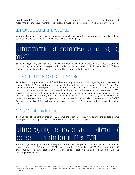from being a FDDEI sale. However, this change only applies to the foreign use requirement; it does not modify the general requirement that the initial sale must be to a foreign person (related or otherwise).

### <span id="page-10-0"></span>Clarifications to substantially similar services rules

When applying the benefit test for substantially similar services, the final regulations specify that the benefits considered are those "directly used" by the related party.

# <span id="page-10-1"></span>Guidance related to the interaction between sections 163(j), 172, and 250

Sections 163(j), 172, and 250 each contain a limitation based on a taxpayer's tax income, and the proposed regulations would have provided an ordering rule to avoid circularity in the application of those sections. The final regulations substantially modify the proposed rules, as follows:

## <span id="page-10-2"></span>Elimination of ordering rule for sections 163(j), 172, and 250

According to the preamble, the IRS and Treasury require further study regarding the interaction of sections 163(j), 172, and 250, and thus eliminate the ordering rule for sections 163(j), 172, and 250 contained in the proposed regulations. The preamble provides that, until guidance is provided, taxpayers may choose any reasonable method in determining the tax income limitation for purposes of section 250, including the ordering rule described in the proposed regulations or simultaneous equations, if the method is applied consistently for all tax years beginning on or after January 1, 2021. However, in determining reasonableness, taxpayers should consider section 172(a)(2)(ii)(I), as amended by the CARES Act, and section 172(d)(9), which generally provide that section 172 is applied without regard to section 250.

## <span id="page-10-3"></span>Pre-TCJA NOLs reduce taxable income

The final regulations confirm that pre-TCJA NOLs are taken into account in determining taxable income for purposes of applying the taxable income limitation of section 250(a)(2).

# <span id="page-10-4"></span>Guidance regarding the allocation and apportionment of penses in determining determine DEI

The final regulations generally retain the proposed rule that a corporation's deductions are allocated and apportioned to gross DEI and gross FDDEI under the rules of Treas. Reg. §§1.861-8 through 1.861- 14T and 1.861-17 by treating section 250(b) as an operative section described in §1.861-8(f), with the following modifications:

© 2020 KPMG LLP, a Delaware limited liability partnership and the U.S. member firm of the KPMG network of independent member firms affiliated with KPMG International Cooperative ("KPMG International"), a Swiss entity. All rights reserved. Printed in the U.S.A. The KPMG name and logo are registered trademarks or trademarks of KPMG International.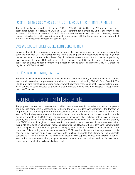## <span id="page-11-0"></span>Certain limitations and carryovers are not taken into account in determining FDDEI and DEI

The final regulations provide that sections 163(j), 170(b)(2), 172, 246(b), and 250 are not taken into account for purposes of calculating DEI and FDDEI. Therefore, for example, NOLs that arise from losses allocable to FDDEI will not reduce DEI or FDDEI in the year that such loss is absorbed. Likewise, interest expense allocable to FDDEI may reduce benefits under section 250 for the tax year incurred even if that interest is non-deductible by reason of section 163(j).

### <span id="page-11-1"></span>Exclusive apportionment for R&E allocation and apportionment

Because the 2019 FTC proposed regulations clarify that exclusive apportionment applies solely for purposes of section 904, the final regulations remove the language in proposed rule §1.250(b)-1(d)(2) that the exclusive apportionment rule in Treas. Reg. § 1.861-17(b) does not apply for purposes of apportioning R&E expenses to gross DEI and gross FDDEI. However, the IRS and Treasury will consider the application of exclusive apportionment for purposes of FDII as part of finalizing the 2019 FTC proposed regulations (REG-105495-19).

### <span id="page-11-2"></span>Pre-TCJA expenses accruing post-TCJA

The final regulations do not address how expenses that accrue post-TCJA, but relate to pre-TCJA periods (e.g., certain executive compensation), are taken into account in calculating FDII. Cf. Prop. Reg. § 1.861- 8(e)(5) (providing that litigation awards and settlement payments that accrue post-TCJA but relate to pre-TCJA periods must be allocated to groupings that the related income would be assigned if recognized in the post-TCJA year).

# <span id="page-11-3"></span>bansion of predominant character rule

The proposed predominant character rule provided that a transaction that includes both a sale component and a service component is classified according to the overall predominant character of the transaction for purposes of determining whether the transaction is subject to the rules for a FDDEI sale or a FDDEI service. The final regulations expand the predominant character rule to apply to transactions that include multiple elements of FDDEI sales. For example, a transaction that includes both a sale of general property and a sale of intangible property will be characterized as either a FDDEI sale of general property or a FDDEI sale of intangible property based on the predominant character of the transaction, when taking into consideration all relevant facts and circumstances. However, the predominant character rules does not apply to determine the particular category into which the provision of a service falls for purposes of determining whether such service is a FDDEI service. Rather, the final regulations provide specific rules relevant to particular services with multiple elements that determine the applicable standard (e.g., for a service that is partially an electronically supplied service and partially a general service that is not an electronically supplied service, the location of the business recipient is determined using the rule for electronically supplied services).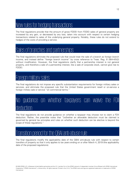# <span id="page-12-0"></span>New rules for hedging transactions

The final regulations provide that the amount of gross FDDEI from FDDEI sales of general property are increased by any gain, or decreased by any loss, taken into account with respect to certain hedging transactions related to sales of the underlying general property. Notably, these rules do not extend to hedges of the costs of providing a service.

# <span id="page-12-1"></span>Sales of branches and partnerships

The final regulations eliminate the proposed rule that would treat the sale of a branch as foreign branch income, and instead define "foreign branch income" by cross reference to Treas. Reg. §1.904-4(f)(2) without modification. However, the final regulations clarify that a partnership interest is not general property, and therefore a sale of a partnership interest, like a sale of corporate stock, cannot give rise to FDDEI.

# <span id="page-12-2"></span>Foreign military sales

The final regulations do not impose any specific substantiation requirements for foreign military sales or services, and eliminate the proposed rule that the United States government resell or on-service a foreign military sale or service "on commercial terms."

# <span id="page-12-3"></span>No guidance on whether taxpayers can waive the FDII deduction

The final regulations do not provide guidance on whether a taxpayer may choose not to claim a FDII deduction. Rather, the preamble notes that "[w]hether an allowable deduction must be claimed is governed by general tax principles and rules on whether such deduction can be elective is beyond the scope of these regulations."

# <span id="page-12-4"></span>Transition period for the QBAI anti-abuse rule

The final regulations modify the applicability date of the QBAI anti-abuse rule with respect to certain transfers of property so that it only applies to tax years ending on or after March 4, 2019 (the applicability date of the proposed regulations).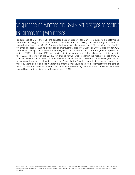# <span id="page-13-0"></span>No guidance on whether the CARES Act changes to section 168(g) apply for QBAI purposes

For purposes of GILTI and FDII, the adjusted basis of property for QBAI is required to be determined under section 168(g) (the "alternative depreciation system" or "ADS"), and without regard to any law enacted after December 22, 2017, unless the law specifically amends the QBAI definition. The CARES Act amends section 168(g) to treat qualified improvement property ("QIP") as 20-year property for ADS under section 168(g) (and 15-year property eligible for bonus depreciation under the general depreciation system ("GDS") of section 168), and provides that this amendment "shall take effect as if included in [the TCJA]." The effect of the CARES Act change for QIP was to shorten the recovery period from 40 years to 20 year for ADS, and from 39 to 15 years for GDS. The application of this rule would generally be to increase a taxpayer's FDII by decreasing the "normal return" with respect to its business assets. The final regulations do not address whether this amendment should be treated as retroactive to the date of the TCJA, and thus taken into account for purposes of determining QBAI, or should be viewed as a later enacted law, and thus disregarded for purposes of QBAI.